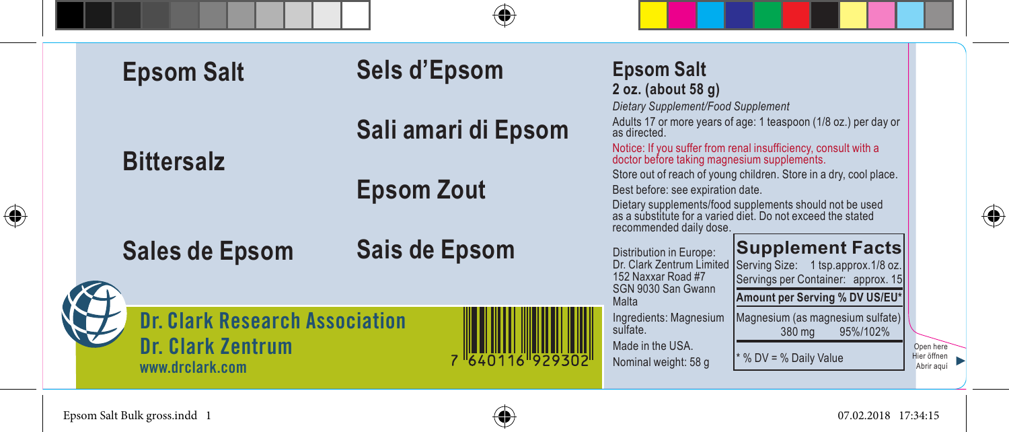| <b>Epsom Salt</b>                                                             | Sels d'Epsom        | <b>Epsom Salt</b><br>2 oz. (about 58 g)<br>Dietary Supplement/Food Supplement                                                                                                                                                                               |
|-------------------------------------------------------------------------------|---------------------|-------------------------------------------------------------------------------------------------------------------------------------------------------------------------------------------------------------------------------------------------------------|
| <b>Bittersalz</b>                                                             | Sali amari di Epsom | Adults 17 or more years of age: 1 teaspoon (1/8 oz.) per day or<br>as directed.<br>Notice: If you suffer from renal insufficiency, consult with a doctor before taking magnesium supplements.                                                               |
|                                                                               | <b>Epsom Zout</b>   | Store out of reach of young children. Store in a dry, cool place.<br>Best before: see expiration date.<br>Dietary supplements/food supplements should not be used<br>as a substitute for a varied diet. Do not exceed the stated<br>recommended daily dose. |
| <b>Sales de Epsom</b>                                                         | Sais de Epsom       | <b>Supplement Facts</b><br>Distribution in Europe:<br>Dr. Clark Zentrum Limited<br>Serving Size: 1 tsp.approx.1/8 oz.<br>152 Naxxar Road #7<br>Servings per Container: approx. 15<br>SGN 9030 San Gwann<br>Amount per Serving % DV US/EU*<br>Malta          |
| <b>Dr. Clark Research Association</b><br>Dr. Clark Zentrum<br>www.drclark.com | 1640116 92930       | Ingredients: Magnesium<br>Magnesium (as magnesium sulfate)<br>sulfate.<br>95%/102%<br>380 mg<br>Made in the USA.<br>Onen here<br>* % DV = % Daily Value<br>Hier öffnen<br>Nominal weight: 58 g<br>Abrir aguí                                                |

 $\bigoplus$ 



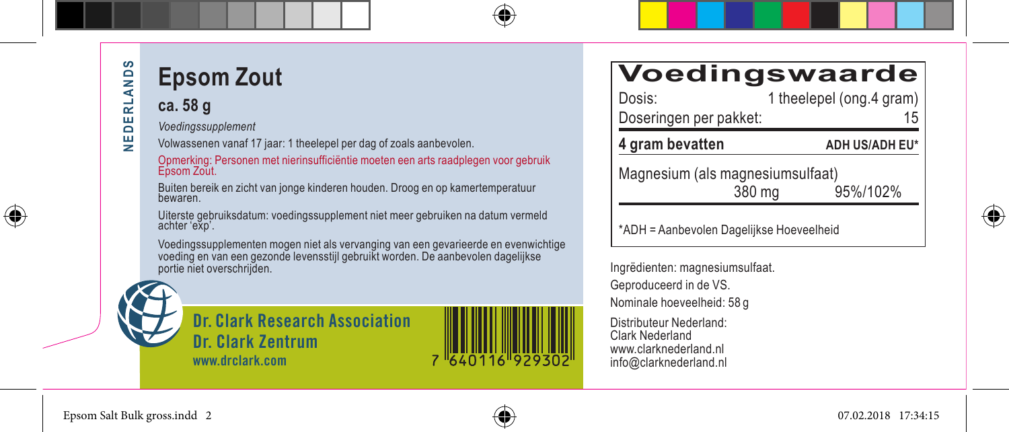⊕

# **Epsom Zout**

### **ca. 58 g**

*Voedingssupplement*

Volwassenen vanaf 17 jaar: 1 theelepel per dag of zoals aanbevolen.

Opmerking: Personen met nierinsufficiëntie moeten een arts raadplegen voor gebruik Epsom Zout.

Buiten bereik en zicht van jonge kinderen houden. Droog en op kamertemperatuur bewaren.

Uiterste gebruiksdatum: voedingssupplement niet meer gebruiken na datum vermeld achter 'exp'.

Voedingssupplementen mogen niet als vervanging van een gevarieerde en evenwichtige voeding en van een gezonde levensstijl gebruikt worden. De aanbevolen dagelijkse portie niet overschrijden.





### **Voedingswaarde**

| Dosis:                            | 1 theelepel (ong.4 gram) |  |  |  |  |  |  |  |  |
|-----------------------------------|--------------------------|--|--|--|--|--|--|--|--|
| Doseringen per pakket:            | 15                       |  |  |  |  |  |  |  |  |
| 4 gram bevatten                   | ADH US/ADH EU*           |  |  |  |  |  |  |  |  |
| Magnesium (als magnesium sulfaat) |                          |  |  |  |  |  |  |  |  |
| 380 mg                            | 95%/102%                 |  |  |  |  |  |  |  |  |

\*ADH = Aanbevolen Dagelijkse Hoeveelheid

Ingrëdienten: magnesiumsulfaat. Geproduceerd in de VS. Nominale hoeveelheid: 58 g Distributeur Nederland: Clark Nederland www.clarknederland.nl info@clarknederland.nl



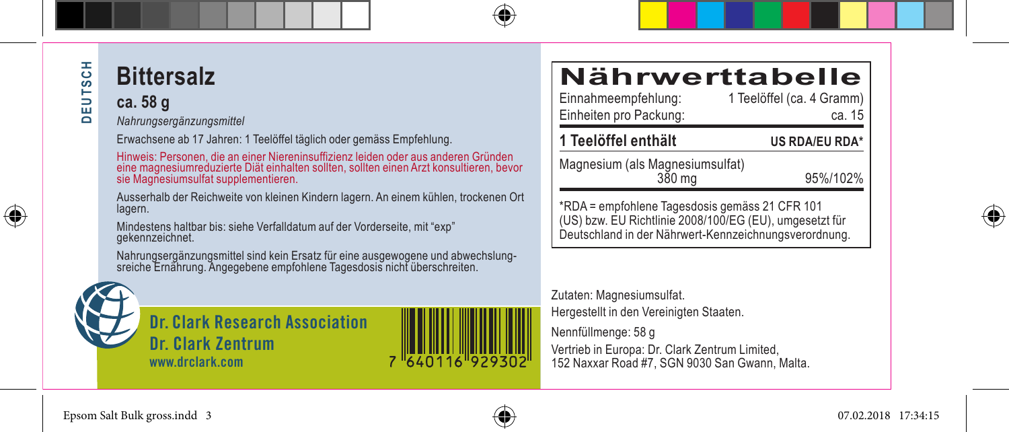⊕

### **Bittersalz**

**ca. 58 g**

*Nahrungsergänzungsmittel*

Erwachsene ab 17 Jahren: 1 Teelöffel täglich oder gemäss Empfehlung.

Hinweis: Personen, die an einer Niereninsuffizienz leiden oder aus anderen Gründen eine magnesiumreduzierte Diät einhalten sollten, sollten einen Arzt konsultieren, bevor sie Magnesiumsulfat supplementieren.

Ausserhalb der Reichweite von kleinen Kindern lagern. An einem kühlen, trockenen Ort lagern.

Mindestens haltbar bis: siehe Verfalldatum auf der Vorderseite, mit "exp" gekennzeichnet.

Nahrungsergänzungsmittel sind kein Ersatz für eine ausgewogene und abwechslung-<br>sreiche Ernährung. Angegebene empfohlene Tagesdosis nicht überschreiten.



**Dr. Clark Research Association Dr. Clark Zentrum www.drclark.com**

# **Nährwerttabelle**<br>Einnahmeempfehlung: 1 Teelöffel (ca. 4 Gramm)

1 Teelöffel (ca. 4 Gramm) Einheiten pro Packung: eta. 15 **1 Teelöffel enthält US RDA/EU RDA\***

Magnesium (als Magnesiumsulfat)

95%/102%

\*RDA = empfohlene Tagesdosis gemäss 21 CFR 101 (US) bzw. EU Richtlinie 2008/100/EG (EU), umgesetzt für Deutschland in der Nährwert-Kennzeichnungsverordnung.

#### Zutaten: Magnesiumsulfat.

Hergestellt in den Vereinigten Staaten.

Nennfüllmenge: 58 g Vertrieb in Europa: Dr. Clark Zentrum Limited, 152 Naxxar Road #7, SGN 9030 San Gwann, Malta.





7 640116 929302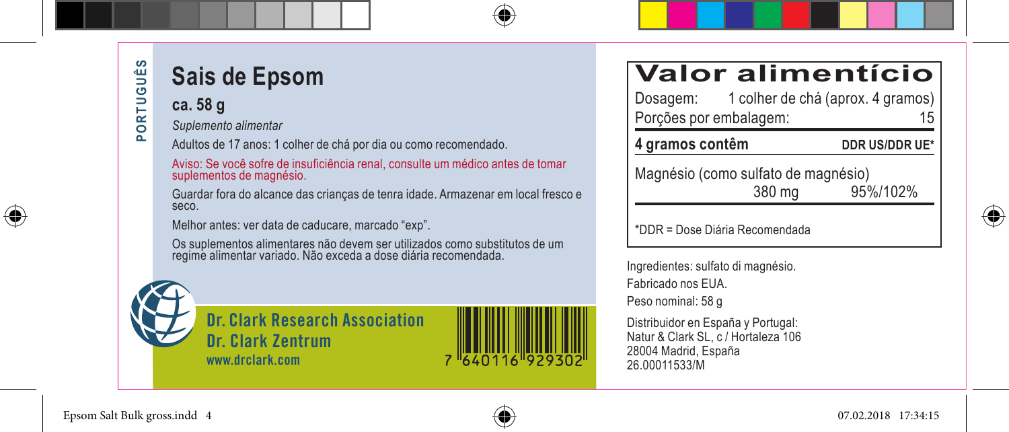# PORTUGUÊS **PORTUGUÊS**

⊕

# **Sais de Epsom**

**ca. 58 g**

*Suplemento alimentar*

Adultos de 17 anos: 1 colher de chá por dia ou como recomendado.

Aviso: Se você sofre de insuficiência renal, consulte um médico antes de tomar suplementos de magnésio.

Guardar fora do alcance das crianças de tenra idade. Armazenar em local fresco e seco.

Melhor antes: ver data de caducare, marcado "exp".

Os suplementos alimentares não devem ser utilizados como substitutos de um regime alimentar variado. Não exceda a dose diária recomendada.



**Dr. Clark Research Association Dr. Clark Zentrum www.drclark.com**



| <b>Valor alimentício</b> |  |  |  |  |  |  |  |  |  |  |
|--------------------------|--|--|--|--|--|--|--|--|--|--|
|                          |  |  |  |  |  |  |  |  |  |  |

| Dosagem:               | 1 colher de chá (aprox. 4 gramos) |    |
|------------------------|-----------------------------------|----|
| Porções por embalagem: |                                   | 15 |

**4 gramos contêm DDR US/DDR UE\***

Magnésio (como sulfato de magnésio)<br>380 mg 95%/102%

\*DDR = Dose Diária Recomendada



Ingredientes: sulfato di magnésio. Fabricado nos EUA. Peso nominal: 58 g

Distribuidor en España y Portugal: Natur & Clark SL, c / Hortaleza 106 28004 Madrid, España 26.00011533/M

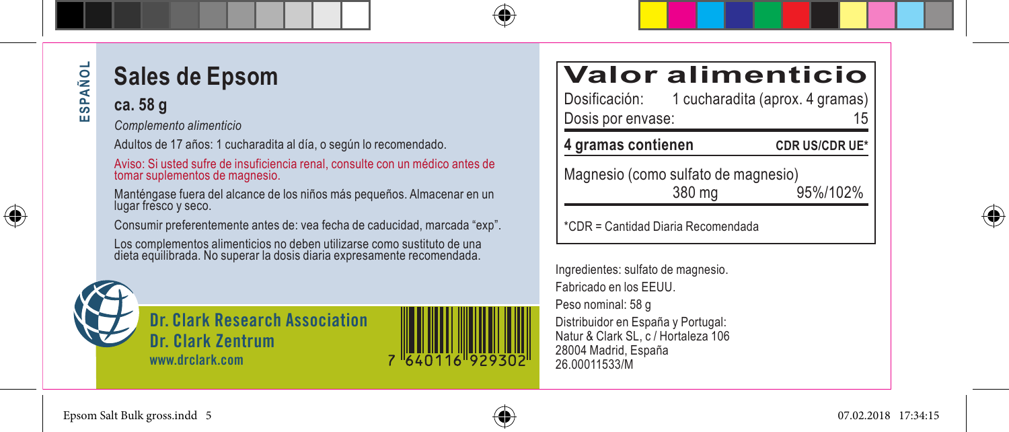### **ESPAÑOL**  SPAÑOL ш

⊕

**Sales de Epsom**

### **ca. 58 g**

*Complemento alimenticio*

Adultos de 17 años: 1 cucharadita al día, o según lo recomendado.

Aviso: Si usted sufre de insuficiencia renal, consulte con un médico antes de tomar suplementos de magnesio.

Manténgase fuera del alcance de los niños más pequeños. Almacenar en un lugar fresco y seco.

Consumir preferentemente antes de: vea fecha de caducidad, marcada "exp".

Los complementos alimenticios no deben utilizarse como sustituto de una dieta equilibrada. No superar la dosis diaria expresamente recomendada.



**Dr. Clark Research Association Dr. Clark Zentrum www.drclark.com**

# **Valor alimenticio**<br>Dosificación: 1 cucharadita (aprox. 4 gramas)

1 cucharadita (aprox. 4 gramas)<br>15 Dosis por envase:

**4 gramas contienen CDR US/CDR UE\***

Magnesio (como sulfato de magnesio)<br>380 mg 95%/102%

\*CDR = Cantidad Diaria Recomendada

Ingredientes: sulfato de magnesio. Fabricado en los EEUU. Peso nominal: 58 g Distribuidor en España y Portugal: Natur & Clark SL, c / Hortaleza 106 28004 Madrid, España 26.00011533/M

⊕

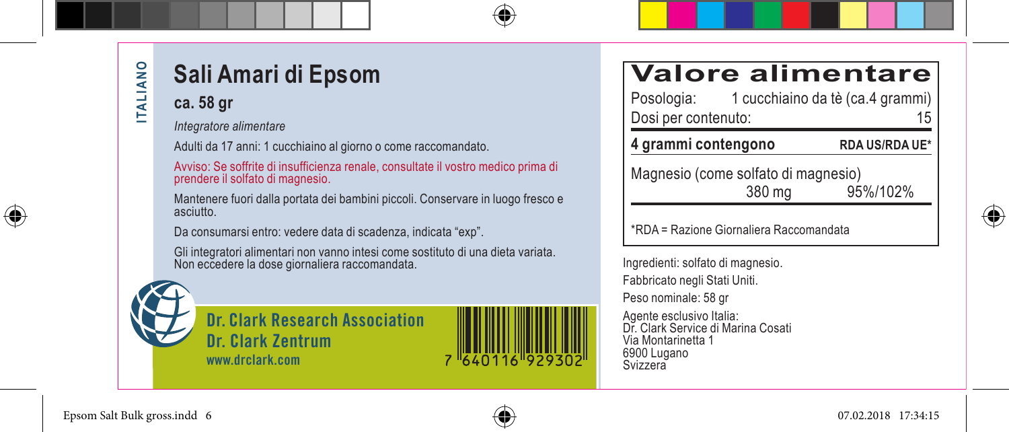### **ITALIANO ITALIANO**

⊕

### **Sali Amari di Epsom**

#### **ca. 58 gr**

*Integratore alimentare*

Adulti da 17 anni: 1 cucchiaino al giorno o come raccomandato.

Avviso: Se soffrite di insufficienza renale, consultate il vostro medico prima di prendere il solfato di magnesio.

Mantenere fuori dalla portata dei bambini piccoli. Conservare in luogo fresco e asciutto.

Da consumarsi entro: vedere data di scadenza, indicata "exp".

Gli integratori alimentari non vanno intesi come sostituto di una dieta variata. Non eccedere la dose giornaliera raccomandata.



**Dr. Clark Research Association Dr. Clark Zentrum www.drclark.com**



| <b>Valore alimentare</b> |  |  |  |
|--------------------------|--|--|--|
|                          |  |  |  |
|                          |  |  |  |

| 4 grammi contengono |  | <b>RDA US/RDA UE*</b>            |    |
|---------------------|--|----------------------------------|----|
| Dosi per contenuto: |  |                                  | 15 |
| Posologia:          |  | 1 cucchiaino da tè (ca.4 grammi) |    |

Magnesio (come solfato di magnesio)<br>380 mg 380 mg 95%/102%

\*RDA = Razione Giornaliera Raccomandata

Ingredienti: solfato di magnesio. Fabbricato negli Stati Uniti. Peso nominale: 58 gr

Agente esclusivo Italia: Dr. Clark Service di Marina Cosati Via Montarinetta 1 6900 Lugano Svizzera



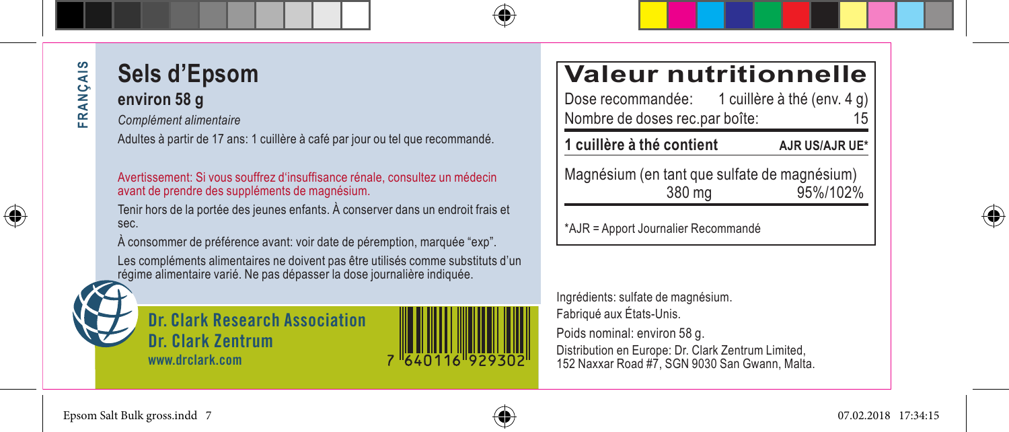# FRANÇAIS **FRANÇAIS**

⊕

### **Sels d'Epsom environ 58 g**

*Complément alimentaire*

Adultes à partir de 17 ans: 1 cuillère à café par jour ou tel que recommandé.

#### Avertissement: Si vous souffrez d'insuffisance rénale, consultez un médecin avant de prendre des suppléments de magnésium.

Tenir hors de la portée des jeunes enfants. À conserver dans un endroit frais et sec.

À consommer de préférence avant: voir date de péremption, marquée "exp".

Les compléments alimentaires ne doivent pas être utilisés comme substituts d'un régime alimentaire varié. Ne pas dépasser la dose journalière indiquée.

**Dr. Clark Research Association Dr. Clark Zentrum www.drclark.com**

# **Valeur nutritionnelle**<br>Dose recommandée: 1 cuillère à thé (env. 4 q)

1 cuillère à thé (env.  $4$  g) Nombre de doses rec.par boîte: 15

**1 cuillère à thé contient AJR US/AJR UE\***

Magnésium (en tant que sulfate de magnésium) 380 mg 95%/102%

\*AJR = Apport Journalier Recommandé

Ingrédients: sulfate de magnésium. Fabriqué aux États-Unis.

Poids nominal: environ 58 g.

Distribution en Europe: Dr. Clark Zentrum Limited, 152 Naxxar Road #7, SGN 9030 San Gwann, Malta.